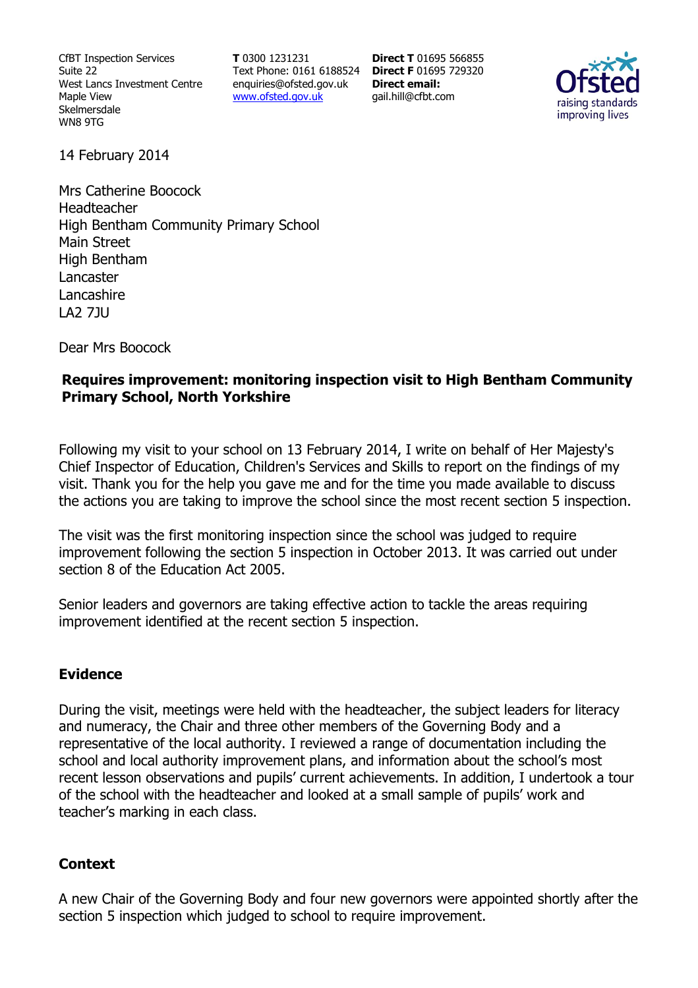CfBT Inspection Services Suite 22 West Lancs Investment Centre Maple View Skelmersdale WN8 9TG

**T** 0300 1231231 Text Phone: 0161 6188524 **Direct F** 01695 729320 enquiries@ofsted.gov.uk www.ofsted.gov.uk

**Direct T** 01695 566855 **Direct email:**  gail.hill@cfbt.com



14 February 2014

Mrs Catherine Boocock Headteacher High Bentham Community Primary School Main Street High Bentham Lancaster Lancashire LA2 7JU

Dear Mrs Boocock

## **Requires improvement: monitoring inspection visit to High Bentham Community Primary School, North Yorkshire**

Following my visit to your school on 13 February 2014, I write on behalf of Her Majesty's Chief Inspector of Education, Children's Services and Skills to report on the findings of my visit. Thank you for the help you gave me and for the time you made available to discuss the actions you are taking to improve the school since the most recent section 5 inspection.

The visit was the first monitoring inspection since the school was judged to require improvement following the section 5 inspection in October 2013. It was carried out under section 8 of the Education Act 2005.

Senior leaders and governors are taking effective action to tackle the areas requiring improvement identified at the recent section 5 inspection.

### **Evidence**

During the visit, meetings were held with the headteacher, the subject leaders for literacy and numeracy, the Chair and three other members of the Governing Body and a representative of the local authority. I reviewed a range of documentation including the school and local authority improvement plans, and information about the school's most recent lesson observations and pupils' current achievements. In addition, I undertook a tour of the school with the headteacher and looked at a small sample of pupils' work and teacher's marking in each class.

### **Context**

A new Chair of the Governing Body and four new governors were appointed shortly after the section 5 inspection which judged to school to require improvement.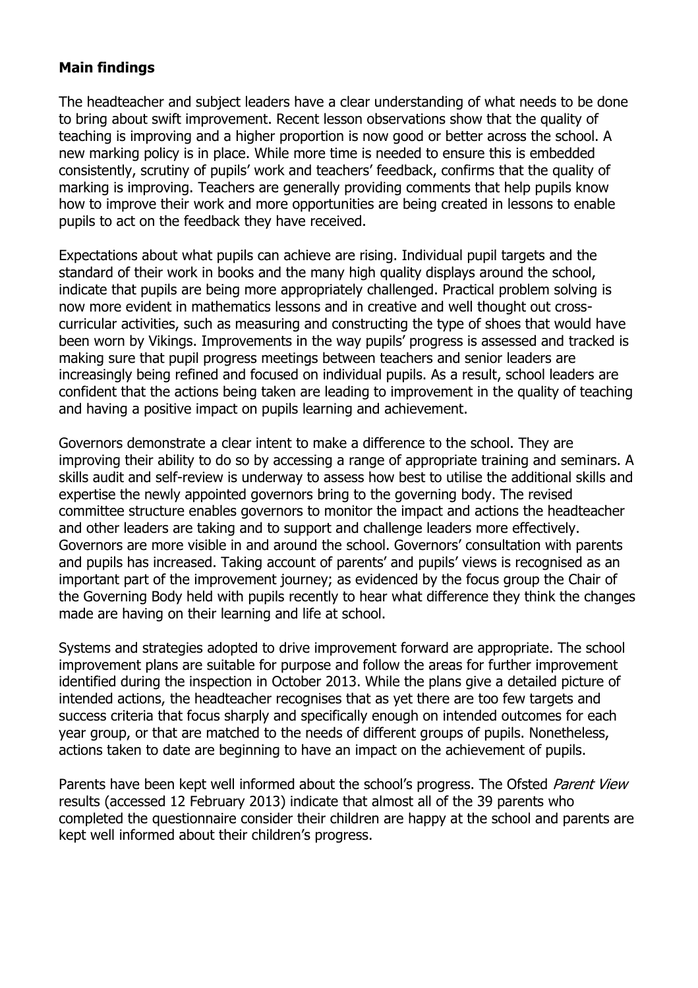### **Main findings**

The headteacher and subject leaders have a clear understanding of what needs to be done to bring about swift improvement. Recent lesson observations show that the quality of teaching is improving and a higher proportion is now good or better across the school. A new marking policy is in place. While more time is needed to ensure this is embedded consistently, scrutiny of pupils' work and teachers' feedback, confirms that the quality of marking is improving. Teachers are generally providing comments that help pupils know how to improve their work and more opportunities are being created in lessons to enable pupils to act on the feedback they have received.

Expectations about what pupils can achieve are rising. Individual pupil targets and the standard of their work in books and the many high quality displays around the school, indicate that pupils are being more appropriately challenged. Practical problem solving is now more evident in mathematics lessons and in creative and well thought out crosscurricular activities, such as measuring and constructing the type of shoes that would have been worn by Vikings. Improvements in the way pupils' progress is assessed and tracked is making sure that pupil progress meetings between teachers and senior leaders are increasingly being refined and focused on individual pupils. As a result, school leaders are confident that the actions being taken are leading to improvement in the quality of teaching and having a positive impact on pupils learning and achievement.

Governors demonstrate a clear intent to make a difference to the school. They are improving their ability to do so by accessing a range of appropriate training and seminars. A skills audit and self-review is underway to assess how best to utilise the additional skills and expertise the newly appointed governors bring to the governing body. The revised committee structure enables governors to monitor the impact and actions the headteacher and other leaders are taking and to support and challenge leaders more effectively. Governors are more visible in and around the school. Governors' consultation with parents and pupils has increased. Taking account of parents' and pupils' views is recognised as an important part of the improvement journey; as evidenced by the focus group the Chair of the Governing Body held with pupils recently to hear what difference they think the changes made are having on their learning and life at school.

Systems and strategies adopted to drive improvement forward are appropriate. The school improvement plans are suitable for purpose and follow the areas for further improvement identified during the inspection in October 2013. While the plans give a detailed picture of intended actions, the headteacher recognises that as yet there are too few targets and success criteria that focus sharply and specifically enough on intended outcomes for each year group, or that are matched to the needs of different groups of pupils. Nonetheless, actions taken to date are beginning to have an impact on the achievement of pupils.

Parents have been kept well informed about the school's progress. The Ofsted Parent View results (accessed 12 February 2013) indicate that almost all of the 39 parents who completed the questionnaire consider their children are happy at the school and parents are kept well informed about their children's progress.